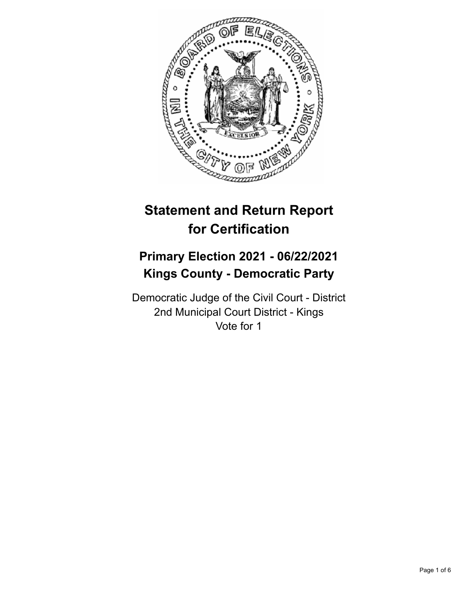

# **Statement and Return Report for Certification**

# **Primary Election 2021 - 06/22/2021 Kings County - Democratic Party**

Democratic Judge of the Civil Court - District 2nd Municipal Court District - Kings Vote for 1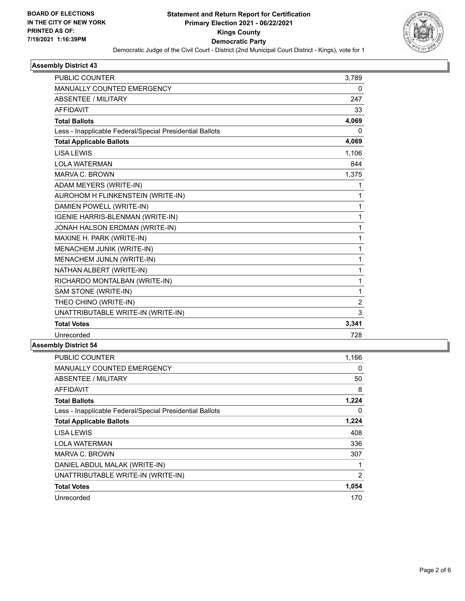

### **Assembly District 43**

| <b>PUBLIC COUNTER</b>                                    | 3,789          |
|----------------------------------------------------------|----------------|
| MANUALLY COUNTED EMERGENCY                               | 0              |
| <b>ABSENTEE / MILITARY</b>                               | 247            |
| <b>AFFIDAVIT</b>                                         | 33             |
| <b>Total Ballots</b>                                     | 4,069          |
| Less - Inapplicable Federal/Special Presidential Ballots | 0              |
| <b>Total Applicable Ballots</b>                          | 4,069          |
| <b>LISA LEWIS</b>                                        | 1,106          |
| <b>LOLA WATERMAN</b>                                     | 844            |
| <b>MARVA C. BROWN</b>                                    | 1,375          |
| ADAM MEYERS (WRITE-IN)                                   | 1              |
| AUROHOM H FLINKENSTEIN (WRITE-IN)                        | 1              |
| DAMIEN POWELL (WRITE-IN)                                 | 1              |
| IGENIE HARRIS-BLENMAN (WRITE-IN)                         | 1              |
| JONAH HALSON ERDMAN (WRITE-IN)                           | 1              |
| MAXINE H. PARK (WRITE-IN)                                | 1              |
| MENACHEM JUNIK (WRITE-IN)                                | 1              |
| MENACHEM JUNLN (WRITE-IN)                                | 1              |
| NATHAN ALBERT (WRITE-IN)                                 | 1              |
| RICHARDO MONTALBAN (WRITE-IN)                            | 1              |
| SAM STONE (WRITE-IN)                                     | 1              |
| THEO CHINO (WRITE-IN)                                    | $\overline{2}$ |
| UNATTRIBUTABLE WRITE-IN (WRITE-IN)                       | 3              |
| <b>Total Votes</b>                                       | 3,341          |
| Unrecorded                                               | 728            |

#### **Assembly District 54**

| 1,166 |
|-------|
| 0     |
| 50    |
| 8     |
| 1,224 |
| 0     |
| 1,224 |
| 408   |
| 336   |
| 307   |
|       |
| 2     |
| 1,054 |
| 170   |
|       |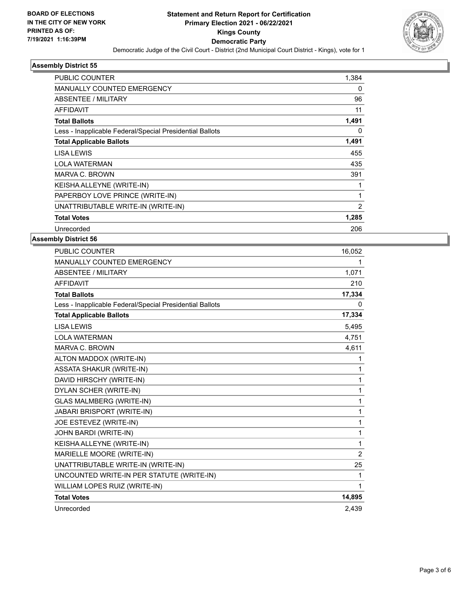

### **Assembly District 55**

| <b>PUBLIC COUNTER</b>                                    | 1,384 |
|----------------------------------------------------------|-------|
| <b>MANUALLY COUNTED EMERGENCY</b>                        | 0     |
| <b>ABSENTEE / MILITARY</b>                               | 96    |
| <b>AFFIDAVIT</b>                                         | 11    |
| <b>Total Ballots</b>                                     | 1,491 |
| Less - Inapplicable Federal/Special Presidential Ballots | 0     |
| <b>Total Applicable Ballots</b>                          | 1,491 |
| LISA LEWIS                                               | 455   |
| <b>LOLA WATERMAN</b>                                     | 435   |
| MARVA C. BROWN                                           | 391   |
| KEISHA ALLEYNE (WRITE-IN)                                |       |
| PAPERBOY LOVE PRINCE (WRITE-IN)                          |       |
| UNATTRIBUTABLE WRITE-IN (WRITE-IN)                       | 2     |
| <b>Total Votes</b>                                       | 1,285 |
| Unrecorded                                               | 206   |
|                                                          |       |

## **Assembly District 56**

| <b>PUBLIC COUNTER</b>                                    | 16,052         |
|----------------------------------------------------------|----------------|
| <b>MANUALLY COUNTED EMERGENCY</b>                        | 1              |
| <b>ABSENTEE / MILITARY</b>                               | 1,071          |
| <b>AFFIDAVIT</b>                                         | 210            |
| <b>Total Ballots</b>                                     | 17,334         |
| Less - Inapplicable Federal/Special Presidential Ballots | 0              |
| <b>Total Applicable Ballots</b>                          | 17,334         |
| <b>LISA LEWIS</b>                                        | 5,495          |
| <b>LOLA WATERMAN</b>                                     | 4,751          |
| MARVA C. BROWN                                           | 4,611          |
| ALTON MADDOX (WRITE-IN)                                  | 1              |
| <b>ASSATA SHAKUR (WRITE-IN)</b>                          | 1              |
| DAVID HIRSCHY (WRITE-IN)                                 | 1              |
| DYLAN SCHER (WRITE-IN)                                   | 1              |
| <b>GLAS MALMBERG (WRITE-IN)</b>                          | 1              |
| JABARI BRISPORT (WRITE-IN)                               | 1              |
| JOE ESTEVEZ (WRITE-IN)                                   | 1              |
| JOHN BARDI (WRITE-IN)                                    | 1              |
| KEISHA ALLEYNE (WRITE-IN)                                | 1              |
| MARIELLE MOORE (WRITE-IN)                                | $\overline{2}$ |
| UNATTRIBUTABLE WRITE-IN (WRITE-IN)                       | 25             |
| UNCOUNTED WRITE-IN PER STATUTE (WRITE-IN)                | 1              |
| WILLIAM LOPES RUIZ (WRITE-IN)                            | 1              |
| <b>Total Votes</b>                                       | 14,895         |
| Unrecorded                                               | 2,439          |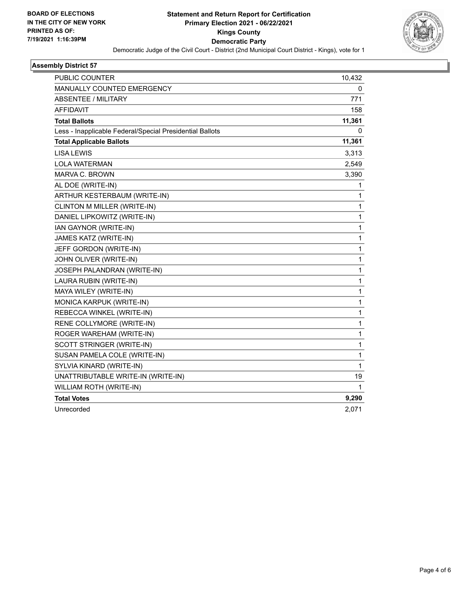

### **Assembly District 57**

| <b>PUBLIC COUNTER</b>                                    | 10,432 |
|----------------------------------------------------------|--------|
| <b>MANUALLY COUNTED EMERGENCY</b>                        | 0      |
| <b>ABSENTEE / MILITARY</b>                               | 771    |
| <b>AFFIDAVIT</b>                                         | 158    |
| <b>Total Ballots</b>                                     | 11,361 |
| Less - Inapplicable Federal/Special Presidential Ballots | 0      |
| <b>Total Applicable Ballots</b>                          | 11,361 |
| <b>LISA LEWIS</b>                                        | 3,313  |
| <b>LOLA WATERMAN</b>                                     | 2,549  |
| MARVA C. BROWN                                           | 3,390  |
| AL DOE (WRITE-IN)                                        | 1      |
| ARTHUR KESTERBAUM (WRITE-IN)                             | 1      |
| CLINTON M MILLER (WRITE-IN)                              | 1      |
| DANIEL LIPKOWITZ (WRITE-IN)                              | 1      |
| IAN GAYNOR (WRITE-IN)                                    | 1      |
| JAMES KATZ (WRITE-IN)                                    | 1      |
| JEFF GORDON (WRITE-IN)                                   | 1      |
| JOHN OLIVER (WRITE-IN)                                   | 1      |
| JOSEPH PALANDRAN (WRITE-IN)                              | 1      |
| LAURA RUBIN (WRITE-IN)                                   | 1      |
| MAYA WILEY (WRITE-IN)                                    | 1      |
| MONICA KARPUK (WRITE-IN)                                 | 1      |
| REBECCA WINKEL (WRITE-IN)                                | 1      |
| RENE COLLYMORE (WRITE-IN)                                | 1      |
| ROGER WAREHAM (WRITE-IN)                                 | 1      |
| SCOTT STRINGER (WRITE-IN)                                | 1      |
| SUSAN PAMELA COLE (WRITE-IN)                             | 1      |
| SYLVIA KINARD (WRITE-IN)                                 | 1      |
| UNATTRIBUTABLE WRITE-IN (WRITE-IN)                       | 19     |
| WILLIAM ROTH (WRITE-IN)                                  | 1      |
| <b>Total Votes</b>                                       | 9,290  |
| Unrecorded                                               | 2,071  |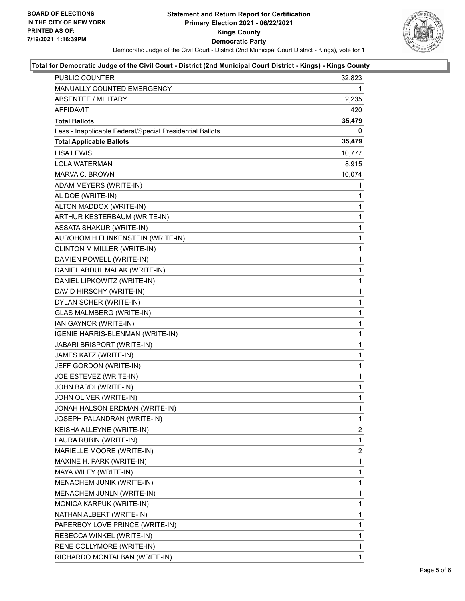

#### **Total for Democratic Judge of the Civil Court - District (2nd Municipal Court District - Kings) - Kings County**

| <b>PUBLIC COUNTER</b>                                    | 32,823 |
|----------------------------------------------------------|--------|
| MANUALLY COUNTED EMERGENCY                               | 1      |
| <b>ABSENTEE / MILITARY</b>                               | 2,235  |
| <b>AFFIDAVIT</b>                                         | 420    |
| <b>Total Ballots</b>                                     | 35,479 |
| Less - Inapplicable Federal/Special Presidential Ballots | 0      |
| <b>Total Applicable Ballots</b>                          | 35,479 |
| <b>LISA LEWIS</b>                                        | 10,777 |
| LOLA WATERMAN                                            | 8,915  |
| MARVA C. BROWN                                           | 10,074 |
| ADAM MEYERS (WRITE-IN)                                   | 1      |
| AL DOE (WRITE-IN)                                        | 1      |
| ALTON MADDOX (WRITE-IN)                                  | 1      |
| ARTHUR KESTERBAUM (WRITE-IN)                             | 1      |
| ASSATA SHAKUR (WRITE-IN)                                 | 1      |
| AUROHOM H FLINKENSTEIN (WRITE-IN)                        | 1      |
| CLINTON M MILLER (WRITE-IN)                              | 1      |
| DAMIEN POWELL (WRITE-IN)                                 | 1      |
| DANIEL ABDUL MALAK (WRITE-IN)                            | 1      |
| DANIEL LIPKOWITZ (WRITE-IN)                              | 1      |
| DAVID HIRSCHY (WRITE-IN)                                 | 1      |
| DYLAN SCHER (WRITE-IN)                                   | 1      |
| <b>GLAS MALMBERG (WRITE-IN)</b>                          | 1      |
| IAN GAYNOR (WRITE-IN)                                    | 1      |
| IGENIE HARRIS-BLENMAN (WRITE-IN)                         | 1      |
| JABARI BRISPORT (WRITE-IN)                               | 1      |
| JAMES KATZ (WRITE-IN)                                    | 1      |
| JEFF GORDON (WRITE-IN)                                   | 1      |
| JOE ESTEVEZ (WRITE-IN)                                   | 1      |
| JOHN BARDI (WRITE-IN)                                    | 1      |
| JOHN OLIVER (WRITE-IN)                                   | 1      |
| JONAH HALSON ERDMAN (WRITE-IN)                           | 1      |
| JOSEPH PALANDRAN (WRITE-IN)                              | 1      |
| KEISHA ALLEYNE (WRITE-IN)                                | 2      |
| LAURA RUBIN (WRITE-IN)                                   | 1      |
| MARIELLE MOORE (WRITE-IN)                                | 2      |
| MAXINE H. PARK (WRITE-IN)                                | 1      |
| MAYA WILEY (WRITE-IN)                                    | 1      |
| MENACHEM JUNIK (WRITE-IN)                                | 1      |
| MENACHEM JUNLN (WRITE-IN)                                | 1      |
| MONICA KARPUK (WRITE-IN)                                 | 1      |
| NATHAN ALBERT (WRITE-IN)                                 | 1      |
| PAPERBOY LOVE PRINCE (WRITE-IN)                          | 1      |
| REBECCA WINKEL (WRITE-IN)                                | 1      |
| RENE COLLYMORE (WRITE-IN)                                | 1      |
| RICHARDO MONTALBAN (WRITE-IN)                            | 1      |